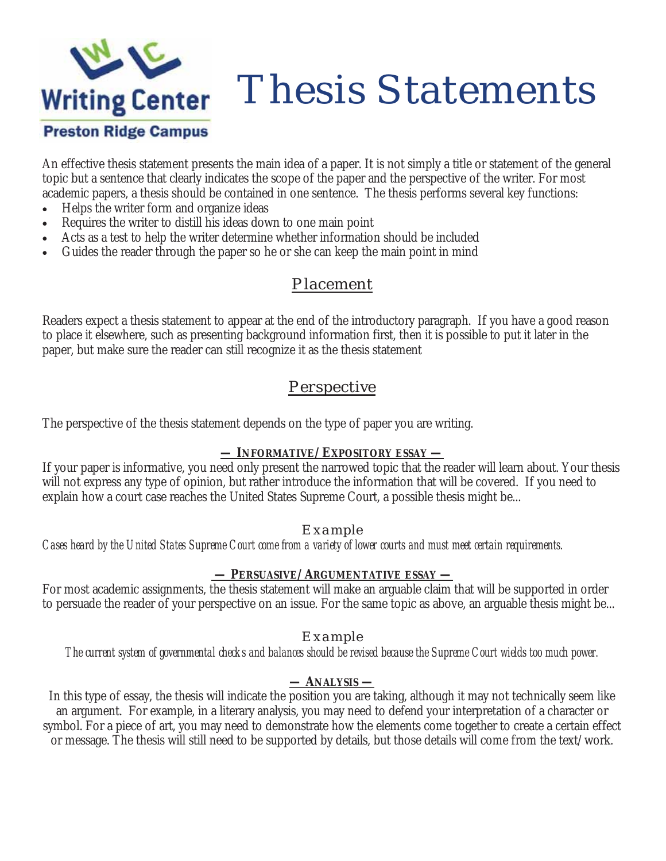

An effective thesis statement presents the main idea of a paper. It is not simply a title or statement of the general topic but a sentence that clearly indicates the scope of the paper and the perspective of the writer. For most academic papers, a thesis should be contained in one sentence. The thesis performs several key functions:

- Helps the writer form and organize ideas
- x Requires the writer to distill his ideas down to one main point
- Acts as a test to help the writer determine whether information should be included
- Guides the reader through the paper so he or she can keep the main point in mind

### Placement

Readers expect a thesis statement to appear at the end of the introductory paragraph. If you have a good reason to place it elsewhere, such as presenting background information first, then it is possible to put it later in the paper, but make sure the reader can still recognize it as the thesis statement

## **Perspective**

The perspective of the thesis statement depends on the type of paper you are writing.

#### **— INFORMATIVE/EXPOSITORY ESSAY —**

If your paper is informative, you need only present the narrowed topic that the reader will learn about. Your thesis will not express any type of opinion, but rather introduce the information that will be covered. If you need to explain how a court case reaches the United States Supreme Court, a possible thesis might be...

### *Example*

*Cases heard by the United States Supreme Court come from a variety of lower courts and must meet certain requirements.* 

### **— PERSUASIVE/ARGUMENTATIVE ESSAY —**

For most academic assignments, the thesis statement will make an arguable claim that will be supported in order to persuade the reader of your perspective on an issue. For the same topic as above, an arguable thesis might be...

### *Example*

*The current system of governmental checks and balances should be revised because the Supreme Court wields too much power.* 

### **— ANALYSIS —**

In this type of essay, the thesis will indicate the position you are taking, although it may not technically seem like an argument. For example, in a literary analysis, you may need to defend your interpretation of a character or symbol. For a piece of art, you may need to demonstrate how the elements come together to create a certain effect or message. The thesis will still need to be supported by details, but those details will come from the text/work.